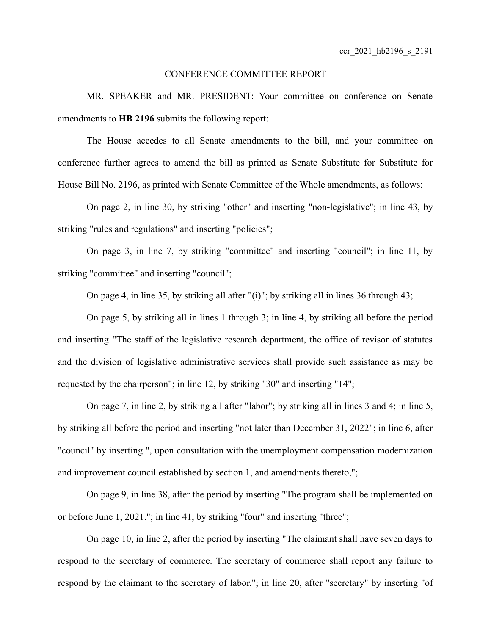## CONFERENCE COMMITTEE REPORT

MR. SPEAKER and MR. PRESIDENT: Your committee on conference on Senate amendments to **HB 2196** submits the following report:

The House accedes to all Senate amendments to the bill, and your committee on conference further agrees to amend the bill as printed as Senate Substitute for Substitute for House Bill No. 2196, as printed with Senate Committee of the Whole amendments, as follows:

On page 2, in line 30, by striking "other" and inserting "non-legislative"; in line 43, by striking "rules and regulations" and inserting "policies";

On page 3, in line 7, by striking "committee" and inserting "council"; in line 11, by striking "committee" and inserting "council";

On page 4, in line 35, by striking all after "(i)"; by striking all in lines 36 through 43;

On page 5, by striking all in lines 1 through 3; in line 4, by striking all before the period and inserting "The staff of the legislative research department, the office of revisor of statutes and the division of legislative administrative services shall provide such assistance as may be requested by the chairperson"; in line 12, by striking "30" and inserting "14";

On page 7, in line 2, by striking all after "labor"; by striking all in lines 3 and 4; in line 5, by striking all before the period and inserting "not later than December 31, 2022"; in line 6, after "council" by inserting ", upon consultation with the unemployment compensation modernization and improvement council established by section 1, and amendments thereto,";

On page 9, in line 38, after the period by inserting "The program shall be implemented on or before June 1, 2021."; in line 41, by striking "four" and inserting "three";

On page 10, in line 2, after the period by inserting "The claimant shall have seven days to respond to the secretary of commerce. The secretary of commerce shall report any failure to respond by the claimant to the secretary of labor."; in line 20, after "secretary" by inserting "of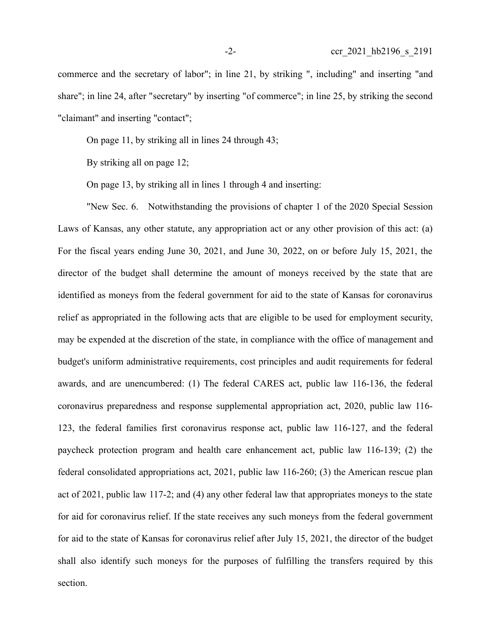commerce and the secretary of labor"; in line 21, by striking ", including" and inserting "and share"; in line 24, after "secretary" by inserting "of commerce"; in line 25, by striking the second "claimant" and inserting "contact";

On page 11, by striking all in lines 24 through 43;

By striking all on page 12;

On page 13, by striking all in lines 1 through 4 and inserting:

"New Sec. 6. Notwithstanding the provisions of chapter 1 of the 2020 Special Session Laws of Kansas, any other statute, any appropriation act or any other provision of this act: (a) For the fiscal years ending June 30, 2021, and June 30, 2022, on or before July 15, 2021, the director of the budget shall determine the amount of moneys received by the state that are identified as moneys from the federal government for aid to the state of Kansas for coronavirus relief as appropriated in the following acts that are eligible to be used for employment security, may be expended at the discretion of the state, in compliance with the office of management and budget's uniform administrative requirements, cost principles and audit requirements for federal awards, and are unencumbered: (1) The federal CARES act, public law 116-136, the federal coronavirus preparedness and response supplemental appropriation act, 2020, public law 116- 123, the federal families first coronavirus response act, public law 116-127, and the federal paycheck protection program and health care enhancement act, public law 116-139; (2) the federal consolidated appropriations act, 2021, public law 116-260; (3) the American rescue plan act of 2021, public law 117-2; and (4) any other federal law that appropriates moneys to the state for aid for coronavirus relief. If the state receives any such moneys from the federal government for aid to the state of Kansas for coronavirus relief after July 15, 2021, the director of the budget shall also identify such moneys for the purposes of fulfilling the transfers required by this section.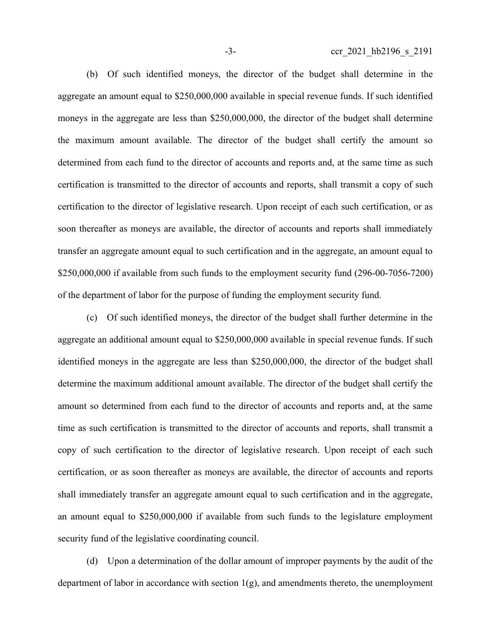(b) Of such identified moneys, the director of the budget shall determine in the aggregate an amount equal to \$250,000,000 available in special revenue funds. If such identified moneys in the aggregate are less than \$250,000,000, the director of the budget shall determine the maximum amount available. The director of the budget shall certify the amount so determined from each fund to the director of accounts and reports and, at the same time as such certification is transmitted to the director of accounts and reports, shall transmit a copy of such certification to the director of legislative research. Upon receipt of each such certification, or as soon thereafter as moneys are available, the director of accounts and reports shall immediately transfer an aggregate amount equal to such certification and in the aggregate, an amount equal to \$250,000,000 if available from such funds to the employment security fund (296-00-7056-7200) of the department of labor for the purpose of funding the employment security fund.

(c) Of such identified moneys, the director of the budget shall further determine in the aggregate an additional amount equal to \$250,000,000 available in special revenue funds. If such identified moneys in the aggregate are less than \$250,000,000, the director of the budget shall determine the maximum additional amount available. The director of the budget shall certify the amount so determined from each fund to the director of accounts and reports and, at the same time as such certification is transmitted to the director of accounts and reports, shall transmit a copy of such certification to the director of legislative research. Upon receipt of each such certification, or as soon thereafter as moneys are available, the director of accounts and reports shall immediately transfer an aggregate amount equal to such certification and in the aggregate, an amount equal to \$250,000,000 if available from such funds to the legislature employment security fund of the legislative coordinating council.

(d) Upon a determination of the dollar amount of improper payments by the audit of the department of labor in accordance with section  $1(g)$ , and amendments thereto, the unemployment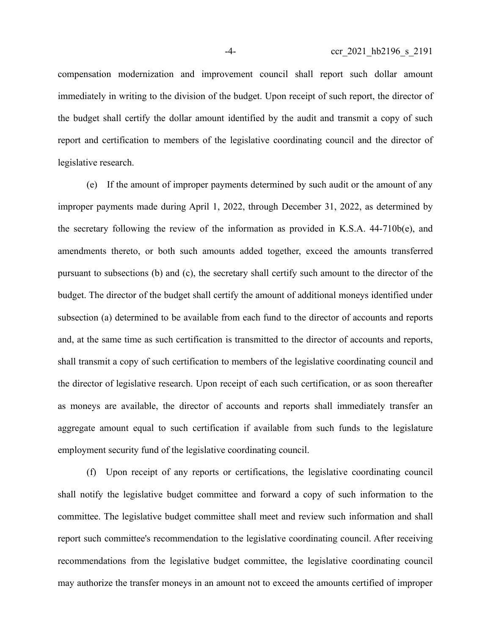compensation modernization and improvement council shall report such dollar amount immediately in writing to the division of the budget. Upon receipt of such report, the director of the budget shall certify the dollar amount identified by the audit and transmit a copy of such report and certification to members of the legislative coordinating council and the director of legislative research.

(e) If the amount of improper payments determined by such audit or the amount of any improper payments made during April 1, 2022, through December 31, 2022, as determined by the secretary following the review of the information as provided in K.S.A. 44-710b(e), and amendments thereto, or both such amounts added together, exceed the amounts transferred pursuant to subsections (b) and (c), the secretary shall certify such amount to the director of the budget. The director of the budget shall certify the amount of additional moneys identified under subsection (a) determined to be available from each fund to the director of accounts and reports and, at the same time as such certification is transmitted to the director of accounts and reports, shall transmit a copy of such certification to members of the legislative coordinating council and the director of legislative research. Upon receipt of each such certification, or as soon thereafter as moneys are available, the director of accounts and reports shall immediately transfer an aggregate amount equal to such certification if available from such funds to the legislature employment security fund of the legislative coordinating council.

(f) Upon receipt of any reports or certifications, the legislative coordinating council shall notify the legislative budget committee and forward a copy of such information to the committee. The legislative budget committee shall meet and review such information and shall report such committee's recommendation to the legislative coordinating council. After receiving recommendations from the legislative budget committee, the legislative coordinating council may authorize the transfer moneys in an amount not to exceed the amounts certified of improper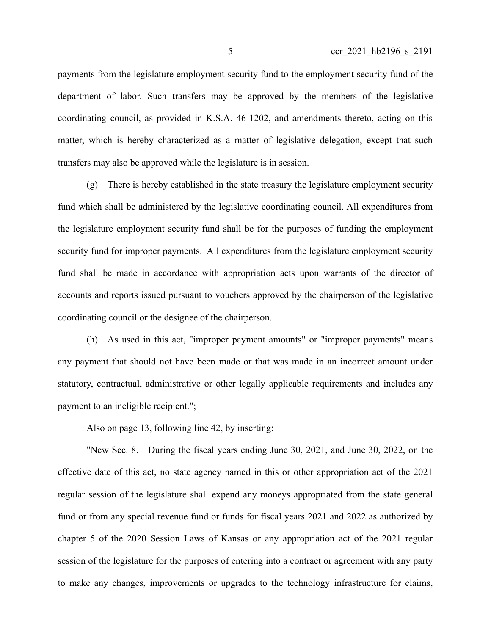payments from the legislature employment security fund to the employment security fund of the department of labor. Such transfers may be approved by the members of the legislative coordinating council, as provided in K.S.A. 46-1202, and amendments thereto, acting on this matter, which is hereby characterized as a matter of legislative delegation, except that such transfers may also be approved while the legislature is in session.

(g) There is hereby established in the state treasury the legislature employment security fund which shall be administered by the legislative coordinating council. All expenditures from the legislature employment security fund shall be for the purposes of funding the employment security fund for improper payments. All expenditures from the legislature employment security fund shall be made in accordance with appropriation acts upon warrants of the director of accounts and reports issued pursuant to vouchers approved by the chairperson of the legislative coordinating council or the designee of the chairperson.

(h) As used in this act, "improper payment amounts" or "improper payments" means any payment that should not have been made or that was made in an incorrect amount under statutory, contractual, administrative or other legally applicable requirements and includes any payment to an ineligible recipient.";

Also on page 13, following line 42, by inserting:

"New Sec. 8. During the fiscal years ending June 30, 2021, and June 30, 2022, on the effective date of this act, no state agency named in this or other appropriation act of the 2021 regular session of the legislature shall expend any moneys appropriated from the state general fund or from any special revenue fund or funds for fiscal years 2021 and 2022 as authorized by chapter 5 of the 2020 Session Laws of Kansas or any appropriation act of the 2021 regular session of the legislature for the purposes of entering into a contract or agreement with any party to make any changes, improvements or upgrades to the technology infrastructure for claims,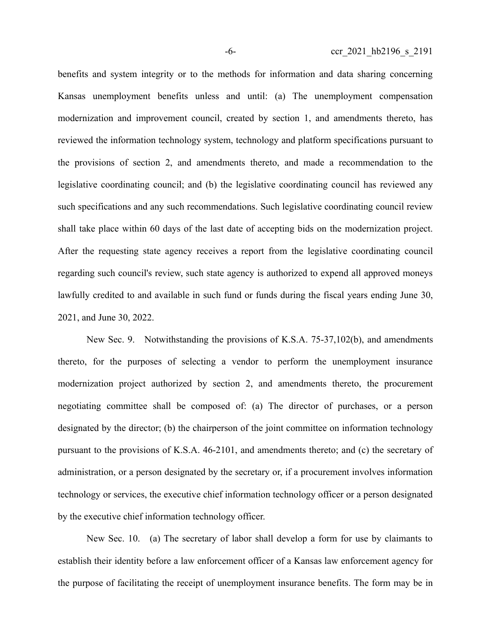benefits and system integrity or to the methods for information and data sharing concerning Kansas unemployment benefits unless and until: (a) The unemployment compensation modernization and improvement council, created by section 1, and amendments thereto, has reviewed the information technology system, technology and platform specifications pursuant to the provisions of section 2, and amendments thereto, and made a recommendation to the legislative coordinating council; and (b) the legislative coordinating council has reviewed any such specifications and any such recommendations. Such legislative coordinating council review shall take place within 60 days of the last date of accepting bids on the modernization project. After the requesting state agency receives a report from the legislative coordinating council regarding such council's review, such state agency is authorized to expend all approved moneys lawfully credited to and available in such fund or funds during the fiscal years ending June 30, 2021, and June 30, 2022.

New Sec. 9. Notwithstanding the provisions of K.S.A. 75-37,102(b), and amendments thereto, for the purposes of selecting a vendor to perform the unemployment insurance modernization project authorized by section 2, and amendments thereto, the procurement negotiating committee shall be composed of: (a) The director of purchases, or a person designated by the director; (b) the chairperson of the joint committee on information technology pursuant to the provisions of K.S.A. 46-2101, and amendments thereto; and (c) the secretary of administration, or a person designated by the secretary or, if a procurement involves information technology or services, the executive chief information technology officer or a person designated by the executive chief information technology officer.

New Sec. 10. (a) The secretary of labor shall develop a form for use by claimants to establish their identity before a law enforcement officer of a Kansas law enforcement agency for the purpose of facilitating the receipt of unemployment insurance benefits. The form may be in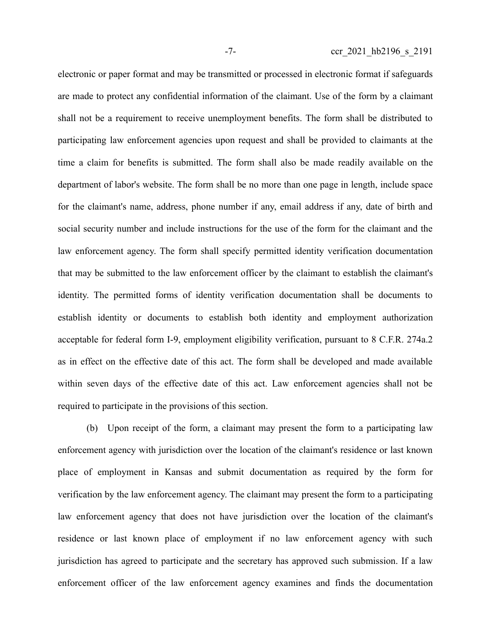electronic or paper format and may be transmitted or processed in electronic format if safeguards are made to protect any confidential information of the claimant. Use of the form by a claimant shall not be a requirement to receive unemployment benefits. The form shall be distributed to participating law enforcement agencies upon request and shall be provided to claimants at the time a claim for benefits is submitted. The form shall also be made readily available on the department of labor's website. The form shall be no more than one page in length, include space for the claimant's name, address, phone number if any, email address if any, date of birth and social security number and include instructions for the use of the form for the claimant and the law enforcement agency. The form shall specify permitted identity verification documentation that may be submitted to the law enforcement officer by the claimant to establish the claimant's identity. The permitted forms of identity verification documentation shall be documents to establish identity or documents to establish both identity and employment authorization acceptable for federal form I-9, employment eligibility verification, pursuant to 8 C.F.R. 274a.2 as in effect on the effective date of this act. The form shall be developed and made available within seven days of the effective date of this act. Law enforcement agencies shall not be required to participate in the provisions of this section.

(b) Upon receipt of the form, a claimant may present the form to a participating law enforcement agency with jurisdiction over the location of the claimant's residence or last known place of employment in Kansas and submit documentation as required by the form for verification by the law enforcement agency. The claimant may present the form to a participating law enforcement agency that does not have jurisdiction over the location of the claimant's residence or last known place of employment if no law enforcement agency with such jurisdiction has agreed to participate and the secretary has approved such submission. If a law enforcement officer of the law enforcement agency examines and finds the documentation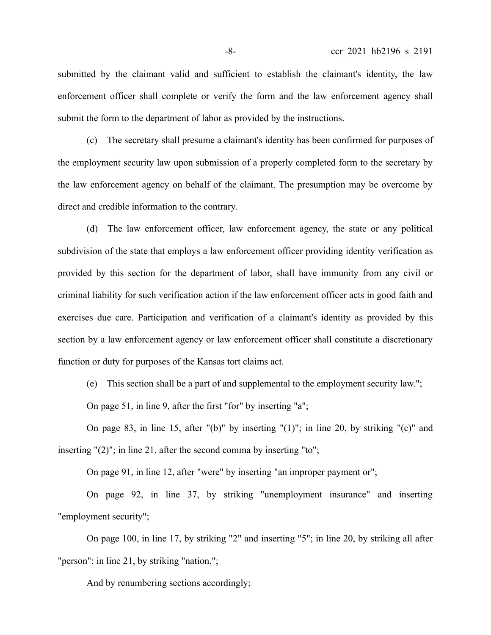submitted by the claimant valid and sufficient to establish the claimant's identity, the law enforcement officer shall complete or verify the form and the law enforcement agency shall submit the form to the department of labor as provided by the instructions.

(c) The secretary shall presume a claimant's identity has been confirmed for purposes of the employment security law upon submission of a properly completed form to the secretary by the law enforcement agency on behalf of the claimant. The presumption may be overcome by direct and credible information to the contrary.

(d) The law enforcement officer, law enforcement agency, the state or any political subdivision of the state that employs a law enforcement officer providing identity verification as provided by this section for the department of labor, shall have immunity from any civil or criminal liability for such verification action if the law enforcement officer acts in good faith and exercises due care. Participation and verification of a claimant's identity as provided by this section by a law enforcement agency or law enforcement officer shall constitute a discretionary function or duty for purposes of the Kansas tort claims act.

(e) This section shall be a part of and supplemental to the employment security law.";

On page 51, in line 9, after the first "for" by inserting "a";

On page 83, in line 15, after " $(b)$ " by inserting " $(1)$ "; in line 20, by striking " $(c)$ " and inserting "(2)"; in line 21, after the second comma by inserting "to";

On page 91, in line 12, after "were" by inserting "an improper payment or";

On page 92, in line 37, by striking "unemployment insurance" and inserting "employment security";

On page 100, in line 17, by striking "2" and inserting "5"; in line 20, by striking all after "person"; in line 21, by striking "nation,";

And by renumbering sections accordingly;